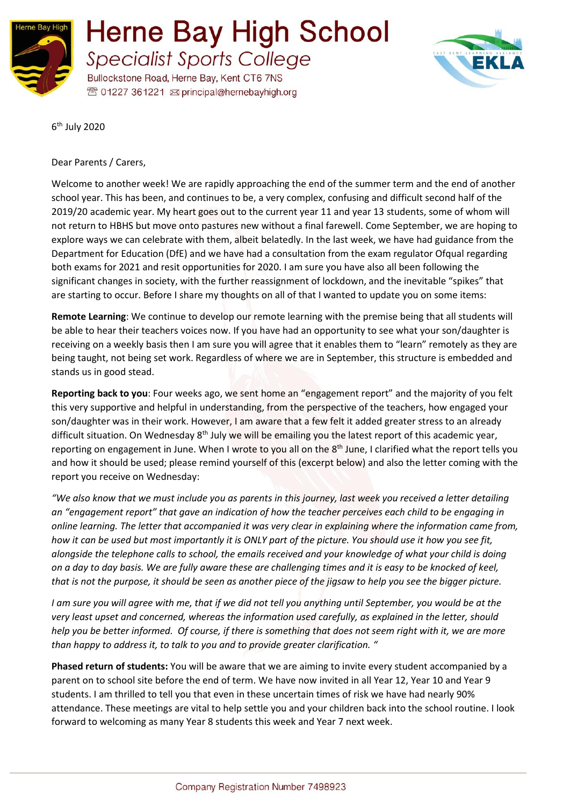



6<sup>th</sup> July 2020

Dear Parents / Carers,

Welcome to another week! We are rapidly approaching the end of the summer term and the end of another school year. This has been, and continues to be, a very complex, confusing and difficult second half of the 2019/20 academic year. My heart goes out to the current year 11 and year 13 students, some of whom will not return to HBHS but move onto pastures new without a final farewell. Come September, we are hoping to explore ways we can celebrate with them, albeit belatedly. In the last week, we have had guidance from the Department for Education (DfE) and we have had a consultation from the exam regulator Ofqual regarding both exams for 2021 and resit opportunities for 2020. I am sure you have also all been following the significant changes in society, with the further reassignment of lockdown, and the inevitable "spikes" that are starting to occur. Before I share my thoughts on all of that I wanted to update you on some items:

**Remote Learning**: We continue to develop our remote learning with the premise being that all students will be able to hear their teachers voices now. If you have had an opportunity to see what your son/daughter is receiving on a weekly basis then I am sure you will agree that it enables them to "learn" remotely as they are being taught, not being set work. Regardless of where we are in September, this structure is embedded and stands us in good stead.

**Reporting back to you**: Four weeks ago, we sent home an "engagement report" and the majority of you felt this very supportive and helpful in understanding, from the perspective of the teachers, how engaged your son/daughter was in their work. However, I am aware that a few felt it added greater stress to an already difficult situation. On Wednesday 8<sup>th</sup> July we will be emailing you the latest report of this academic year, reporting on engagement in June. When I wrote to you all on the 8<sup>th</sup> June, I clarified what the report tells you and how it should be used; please remind yourself of this (excerpt below) and also the letter coming with the report you receive on Wednesday:

*"We also know that we must include you as parents in this journey, last week you received a letter detailing an "engagement report" that gave an indication of how the teacher perceives each child to be engaging in online learning. The letter that accompanied it was very clear in explaining where the information came from, how it can be used but most importantly it is ONLY part of the picture. You should use it how you see fit, alongside the telephone calls to school, the emails received and your knowledge of what your child is doing on a day to day basis. We are fully aware these are challenging times and it is easy to be knocked of keel, that is not the purpose, it should be seen as another piece of the jigsaw to help you see the bigger picture.*

*I am sure you will agree with me, that if we did not tell you anything until September, you would be at the very least upset and concerned, whereas the information used carefully, as explained in the letter, should help you be better informed. Of course, if there is something that does not seem right with it, we are more than happy to address it, to talk to you and to provide greater clarification. "*

**Phased return of students:** You will be aware that we are aiming to invite every student accompanied by a parent on to school site before the end of term. We have now invited in all Year 12, Year 10 and Year 9 students. I am thrilled to tell you that even in these uncertain times of risk we have had nearly 90% attendance. These meetings are vital to help settle you and your children back into the school routine. I look forward to welcoming as many Year 8 students this week and Year 7 next week.